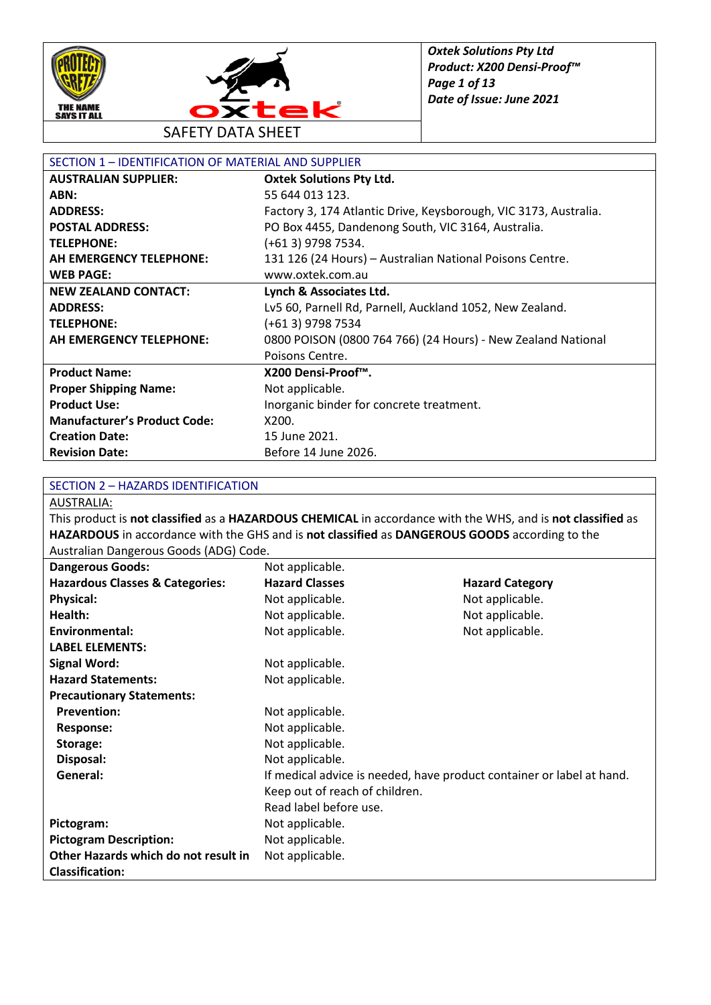



SAFETY DATA SHEET

| SECTION 1 - IDENTIFICATION OF MATERIAL AND SUPPLIER |                                                                  |  |
|-----------------------------------------------------|------------------------------------------------------------------|--|
| <b>AUSTRALIAN SUPPLIER:</b>                         | <b>Oxtek Solutions Pty Ltd.</b>                                  |  |
| ABN:                                                | 55 644 013 123.                                                  |  |
| <b>ADDRESS:</b>                                     | Factory 3, 174 Atlantic Drive, Keysborough, VIC 3173, Australia. |  |
| <b>POSTAL ADDRESS:</b>                              | PO Box 4455, Dandenong South, VIC 3164, Australia.               |  |
| <b>TELEPHONE:</b>                                   | (+61 3) 9798 7534.                                               |  |
| <b>AH EMERGENCY TELEPHONE:</b>                      | 131 126 (24 Hours) - Australian National Poisons Centre.         |  |
| <b>WEB PAGE:</b>                                    | www.oxtek.com.au                                                 |  |
| <b>NEW ZEALAND CONTACT:</b>                         | Lynch & Associates Ltd.                                          |  |
| <b>ADDRESS:</b>                                     | Lv5 60, Parnell Rd, Parnell, Auckland 1052, New Zealand.         |  |
| <b>TELEPHONE:</b>                                   | (+61 3) 9798 7534                                                |  |
| AH EMERGENCY TELEPHONE:                             | 0800 POISON (0800 764 766) (24 Hours) - New Zealand National     |  |
|                                                     | Poisons Centre.                                                  |  |
| <b>Product Name:</b>                                | X200 Densi-Proof™.                                               |  |
| <b>Proper Shipping Name:</b>                        | Not applicable.                                                  |  |
| <b>Product Use:</b>                                 | Inorganic binder for concrete treatment.                         |  |
| <b>Manufacturer's Product Code:</b>                 | X200.                                                            |  |
| <b>Creation Date:</b>                               | 15 June 2021.                                                    |  |
| <b>Revision Date:</b>                               | Before 14 June 2026.                                             |  |

#### SECTION 2 – HAZARDS IDENTIFICATION

AUSTRALIA:

This product is **not classified** as a **HAZARDOUS CHEMICAL** in accordance with the WHS, and is **not classified** as **HAZARDOUS** in accordance with the GHS and is **not classified** as **DANGEROUS GOODS** according to the Australian Dangerous Goods (ADG) Code.

| <b>Dangerous Goods:</b>                    | Not applicable.                                                       |                        |
|--------------------------------------------|-----------------------------------------------------------------------|------------------------|
| <b>Hazardous Classes &amp; Categories:</b> | <b>Hazard Classes</b>                                                 | <b>Hazard Category</b> |
| <b>Physical:</b>                           | Not applicable.                                                       | Not applicable.        |
| Health:                                    | Not applicable.                                                       | Not applicable.        |
| Environmental:                             | Not applicable.                                                       | Not applicable.        |
| <b>LABEL ELEMENTS:</b>                     |                                                                       |                        |
| <b>Signal Word:</b>                        | Not applicable.                                                       |                        |
| <b>Hazard Statements:</b>                  | Not applicable.                                                       |                        |
| <b>Precautionary Statements:</b>           |                                                                       |                        |
| <b>Prevention:</b>                         | Not applicable.                                                       |                        |
| <b>Response:</b>                           | Not applicable.                                                       |                        |
| Storage:                                   | Not applicable.                                                       |                        |
| Disposal:                                  | Not applicable.                                                       |                        |
| General:                                   | If medical advice is needed, have product container or label at hand. |                        |
|                                            | Keep out of reach of children.                                        |                        |
|                                            | Read label before use.                                                |                        |
| Pictogram:                                 | Not applicable.                                                       |                        |
| <b>Pictogram Description:</b>              | Not applicable.                                                       |                        |
| Other Hazards which do not result in       | Not applicable.                                                       |                        |
| <b>Classification:</b>                     |                                                                       |                        |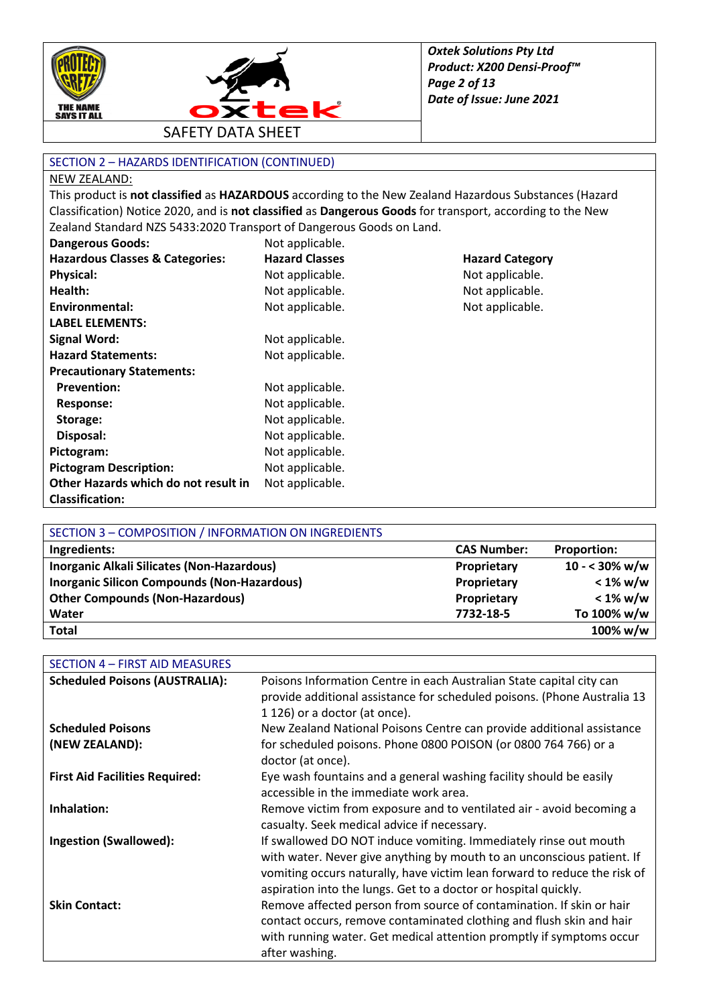



SECTION 2 – HAZARDS IDENTIFICATION (CONTINUED)

#### NEW ZEALAND:

This product is **not classified** as **HAZARDOUS** according to the New Zealand Hazardous Substances (Hazard Classification) Notice 2020, and is **not classified** as **Dangerous Goods** for transport, according to the New Zealand Standard NZS 5433:2020 Transport of Dangerous Goods on Land.

| Dangerous Goods:                           | Not applicable.       |                        |
|--------------------------------------------|-----------------------|------------------------|
| <b>Hazardous Classes &amp; Categories:</b> | <b>Hazard Classes</b> | <b>Hazard Category</b> |
| <b>Physical:</b>                           | Not applicable.       | Not applicable.        |
| Health:                                    | Not applicable.       | Not applicable.        |
| Environmental:                             | Not applicable.       | Not applicable.        |
| <b>LABEL ELEMENTS:</b>                     |                       |                        |
| <b>Signal Word:</b>                        | Not applicable.       |                        |
| <b>Hazard Statements:</b>                  | Not applicable.       |                        |
| <b>Precautionary Statements:</b>           |                       |                        |
| <b>Prevention:</b>                         | Not applicable.       |                        |
| Response:                                  | Not applicable.       |                        |
| Storage:                                   | Not applicable.       |                        |
| Disposal:                                  | Not applicable.       |                        |
| Pictogram:                                 | Not applicable.       |                        |
| <b>Pictogram Description:</b>              | Not applicable.       |                        |
| Other Hazards which do not result in       | Not applicable.       |                        |
| <b>Classification:</b>                     |                       |                        |

| SECTION 3 - COMPOSITION / INFORMATION ON INGREDIENTS |                    |                         |
|------------------------------------------------------|--------------------|-------------------------|
| Ingredients:                                         | <b>CAS Number:</b> | <b>Proportion:</b>      |
| Inorganic Alkali Silicates (Non-Hazardous)           | Proprietary        | $10 - 30\% \text{ w/w}$ |
| <b>Inorganic Silicon Compounds (Non-Hazardous)</b>   | Proprietary        | $< 1\%$ w/w             |
| <b>Other Compounds (Non-Hazardous)</b>               | Proprietary        | $< 1\%$ w/w             |
| Water                                                | 7732-18-5          | To 100% w/w             |
| <b>Total</b>                                         |                    | 100% w/w                |

| SECTION 4 - FIRST AID MEASURES        |                                                                                                                                                                                                                                                                                            |
|---------------------------------------|--------------------------------------------------------------------------------------------------------------------------------------------------------------------------------------------------------------------------------------------------------------------------------------------|
| <b>Scheduled Poisons (AUSTRALIA):</b> | Poisons Information Centre in each Australian State capital city can<br>provide additional assistance for scheduled poisons. (Phone Australia 13<br>1 126) or a doctor (at once).                                                                                                          |
| <b>Scheduled Poisons</b>              | New Zealand National Poisons Centre can provide additional assistance                                                                                                                                                                                                                      |
| (NEW ZEALAND):                        | for scheduled poisons. Phone 0800 POISON (or 0800 764 766) or a<br>doctor (at once).                                                                                                                                                                                                       |
| <b>First Aid Facilities Required:</b> | Eye wash fountains and a general washing facility should be easily<br>accessible in the immediate work area.                                                                                                                                                                               |
| Inhalation:                           | Remove victim from exposure and to ventilated air - avoid becoming a<br>casualty. Seek medical advice if necessary.                                                                                                                                                                        |
| <b>Ingestion (Swallowed):</b>         | If swallowed DO NOT induce vomiting. Immediately rinse out mouth<br>with water. Never give anything by mouth to an unconscious patient. If<br>vomiting occurs naturally, have victim lean forward to reduce the risk of<br>aspiration into the lungs. Get to a doctor or hospital quickly. |
| <b>Skin Contact:</b>                  | Remove affected person from source of contamination. If skin or hair<br>contact occurs, remove contaminated clothing and flush skin and hair<br>with running water. Get medical attention promptly if symptoms occur<br>after washing.                                                     |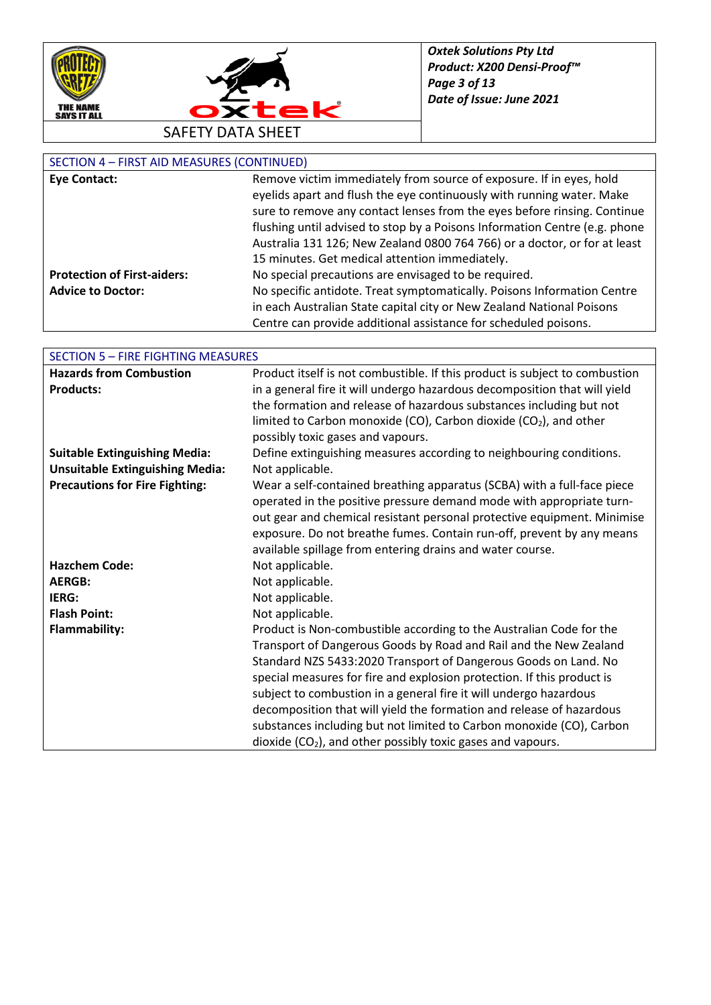



### SECTION 4 – FIRST AID MEASURES (CONTINUED)

| <b>Eye Contact:</b>                | Remove victim immediately from source of exposure. If in eyes, hold        |
|------------------------------------|----------------------------------------------------------------------------|
|                                    | eyelids apart and flush the eye continuously with running water. Make      |
|                                    | sure to remove any contact lenses from the eyes before rinsing. Continue   |
|                                    | flushing until advised to stop by a Poisons Information Centre (e.g. phone |
|                                    | Australia 131 126; New Zealand 0800 764 766) or a doctor, or for at least  |
|                                    | 15 minutes. Get medical attention immediately.                             |
| <b>Protection of First-aiders:</b> | No special precautions are envisaged to be required.                       |
| <b>Advice to Doctor:</b>           | No specific antidote. Treat symptomatically. Poisons Information Centre    |
|                                    | in each Australian State capital city or New Zealand National Poisons      |
|                                    | Centre can provide additional assistance for scheduled poisons.            |

| <b>SECTION 5 - FIRE FIGHTING MEASURES</b> |                                                                             |  |
|-------------------------------------------|-----------------------------------------------------------------------------|--|
| <b>Hazards from Combustion</b>            | Product itself is not combustible. If this product is subject to combustion |  |
| <b>Products:</b>                          | in a general fire it will undergo hazardous decomposition that will yield   |  |
|                                           | the formation and release of hazardous substances including but not         |  |
|                                           | limited to Carbon monoxide (CO), Carbon dioxide (CO2), and other            |  |
|                                           | possibly toxic gases and vapours.                                           |  |
| <b>Suitable Extinguishing Media:</b>      | Define extinguishing measures according to neighbouring conditions.         |  |
| <b>Unsuitable Extinguishing Media:</b>    | Not applicable.                                                             |  |
| <b>Precautions for Fire Fighting:</b>     | Wear a self-contained breathing apparatus (SCBA) with a full-face piece     |  |
|                                           | operated in the positive pressure demand mode with appropriate turn-        |  |
|                                           | out gear and chemical resistant personal protective equipment. Minimise     |  |
|                                           | exposure. Do not breathe fumes. Contain run-off, prevent by any means       |  |
|                                           | available spillage from entering drains and water course.                   |  |
| <b>Hazchem Code:</b>                      | Not applicable.                                                             |  |
| <b>AERGB:</b>                             | Not applicable.                                                             |  |
| IERG:                                     | Not applicable.                                                             |  |
| <b>Flash Point:</b>                       | Not applicable.                                                             |  |
| <b>Flammability:</b>                      | Product is Non-combustible according to the Australian Code for the         |  |
|                                           | Transport of Dangerous Goods by Road and Rail and the New Zealand           |  |
|                                           | Standard NZS 5433:2020 Transport of Dangerous Goods on Land. No             |  |
|                                           | special measures for fire and explosion protection. If this product is      |  |
|                                           | subject to combustion in a general fire it will undergo hazardous           |  |
|                                           | decomposition that will yield the formation and release of hazardous        |  |
|                                           | substances including but not limited to Carbon monoxide (CO), Carbon        |  |
|                                           | dioxide $(CO2)$ , and other possibly toxic gases and vapours.               |  |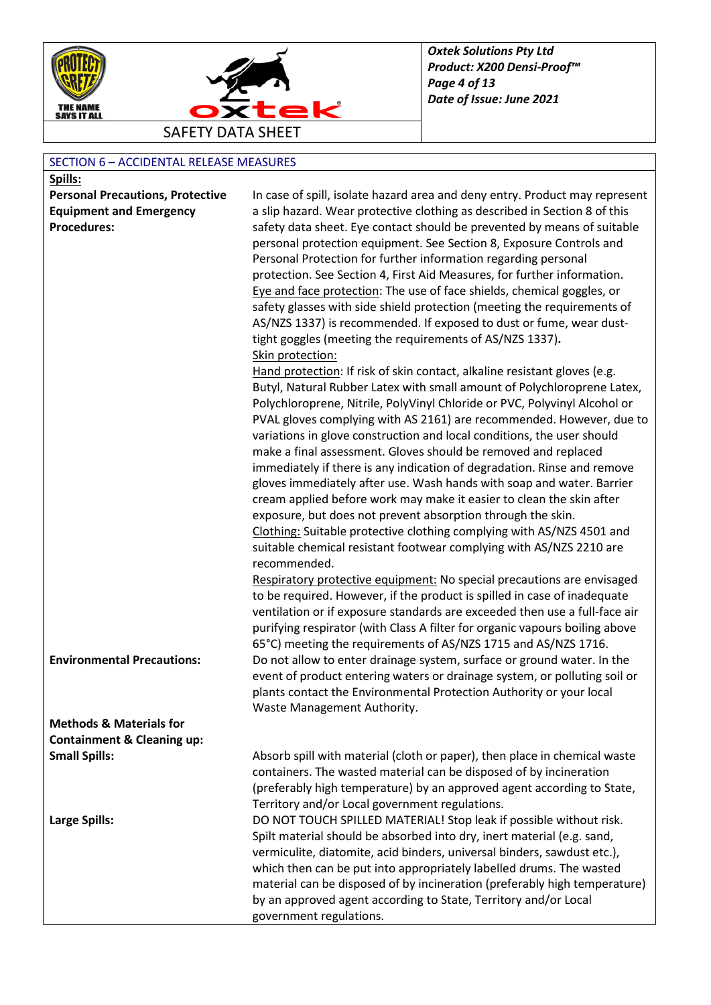



## SECTION 6 – ACCIDENTAL RELEASE MEASURES

| Spills:                                                       |                                                                                                                                          |
|---------------------------------------------------------------|------------------------------------------------------------------------------------------------------------------------------------------|
| <b>Personal Precautions, Protective</b>                       | In case of spill, isolate hazard area and deny entry. Product may represent                                                              |
| <b>Equipment and Emergency</b>                                | a slip hazard. Wear protective clothing as described in Section 8 of this                                                                |
| <b>Procedures:</b>                                            | safety data sheet. Eye contact should be prevented by means of suitable                                                                  |
|                                                               | personal protection equipment. See Section 8, Exposure Controls and                                                                      |
|                                                               | Personal Protection for further information regarding personal                                                                           |
|                                                               | protection. See Section 4, First Aid Measures, for further information.                                                                  |
|                                                               | Eye and face protection: The use of face shields, chemical goggles, or                                                                   |
|                                                               | safety glasses with side shield protection (meeting the requirements of                                                                  |
|                                                               | AS/NZS 1337) is recommended. If exposed to dust or fume, wear dust-                                                                      |
|                                                               | tight goggles (meeting the requirements of AS/NZS 1337).                                                                                 |
|                                                               | Skin protection:                                                                                                                         |
|                                                               | Hand protection: If risk of skin contact, alkaline resistant gloves (e.g.                                                                |
|                                                               | Butyl, Natural Rubber Latex with small amount of Polychloroprene Latex,                                                                  |
|                                                               | Polychloroprene, Nitrile, PolyVinyl Chloride or PVC, Polyvinyl Alcohol or                                                                |
|                                                               | PVAL gloves complying with AS 2161) are recommended. However, due to                                                                     |
|                                                               | variations in glove construction and local conditions, the user should<br>make a final assessment. Gloves should be removed and replaced |
|                                                               | immediately if there is any indication of degradation. Rinse and remove                                                                  |
|                                                               | gloves immediately after use. Wash hands with soap and water. Barrier                                                                    |
|                                                               | cream applied before work may make it easier to clean the skin after                                                                     |
|                                                               | exposure, but does not prevent absorption through the skin.                                                                              |
|                                                               | Clothing: Suitable protective clothing complying with AS/NZS 4501 and                                                                    |
|                                                               | suitable chemical resistant footwear complying with AS/NZS 2210 are                                                                      |
|                                                               | recommended.                                                                                                                             |
|                                                               | Respiratory protective equipment: No special precautions are envisaged                                                                   |
|                                                               | to be required. However, if the product is spilled in case of inadequate                                                                 |
|                                                               | ventilation or if exposure standards are exceeded then use a full-face air                                                               |
|                                                               | purifying respirator (with Class A filter for organic vapours boiling above                                                              |
|                                                               | 65°C) meeting the requirements of AS/NZS 1715 and AS/NZS 1716.                                                                           |
| <b>Environmental Precautions:</b>                             | Do not allow to enter drainage system, surface or ground water. In the                                                                   |
|                                                               | event of product entering waters or drainage system, or polluting soil or                                                                |
|                                                               | plants contact the Environmental Protection Authority or your local                                                                      |
|                                                               | Waste Management Authority.                                                                                                              |
| <b>Methods &amp; Materials for</b>                            |                                                                                                                                          |
| <b>Containment &amp; Cleaning up:</b><br><b>Small Spills:</b> | Absorb spill with material (cloth or paper), then place in chemical waste                                                                |
|                                                               | containers. The wasted material can be disposed of by incineration                                                                       |
|                                                               | (preferably high temperature) by an approved agent according to State,                                                                   |
|                                                               | Territory and/or Local government regulations.                                                                                           |
| Large Spills:                                                 | DO NOT TOUCH SPILLED MATERIAL! Stop leak if possible without risk.                                                                       |
|                                                               | Spilt material should be absorbed into dry, inert material (e.g. sand,                                                                   |
|                                                               | vermiculite, diatomite, acid binders, universal binders, sawdust etc.),                                                                  |
|                                                               | which then can be put into appropriately labelled drums. The wasted                                                                      |
|                                                               | material can be disposed of by incineration (preferably high temperature)                                                                |
|                                                               | by an approved agent according to State, Territory and/or Local                                                                          |
|                                                               | government regulations.                                                                                                                  |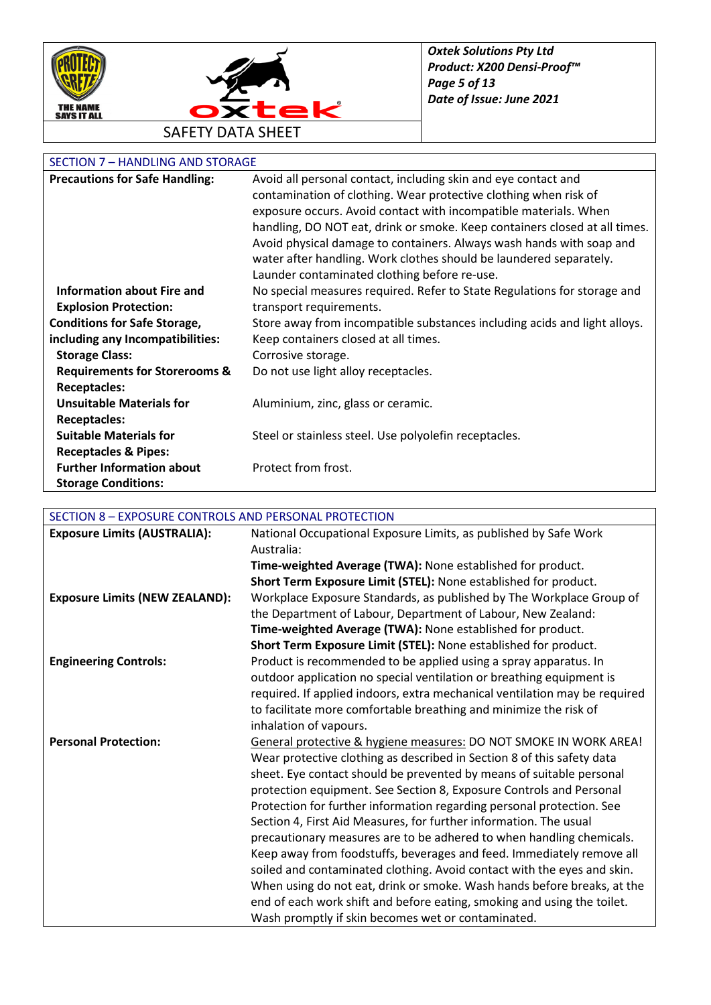



# SECTION 7 – HANDLING AND STORAGE

| <b>Precautions for Safe Handling:</b>    | Avoid all personal contact, including skin and eye contact and             |
|------------------------------------------|----------------------------------------------------------------------------|
|                                          | contamination of clothing. Wear protective clothing when risk of           |
|                                          | exposure occurs. Avoid contact with incompatible materials. When           |
|                                          | handling, DO NOT eat, drink or smoke. Keep containers closed at all times. |
|                                          | Avoid physical damage to containers. Always wash hands with soap and       |
|                                          | water after handling. Work clothes should be laundered separately.         |
|                                          | Launder contaminated clothing before re-use.                               |
| Information about Fire and               | No special measures required. Refer to State Regulations for storage and   |
| <b>Explosion Protection:</b>             | transport requirements.                                                    |
| <b>Conditions for Safe Storage,</b>      | Store away from incompatible substances including acids and light alloys.  |
| including any Incompatibilities:         | Keep containers closed at all times.                                       |
| <b>Storage Class:</b>                    | Corrosive storage.                                                         |
| <b>Requirements for Storerooms &amp;</b> | Do not use light alloy receptacles.                                        |
| <b>Receptacles:</b>                      |                                                                            |
| <b>Unsuitable Materials for</b>          | Aluminium, zinc, glass or ceramic.                                         |
| <b>Receptacles:</b>                      |                                                                            |
| <b>Suitable Materials for</b>            | Steel or stainless steel. Use polyolefin receptacles.                      |
| <b>Receptacles &amp; Pipes:</b>          |                                                                            |
| <b>Further Information about</b>         | Protect from frost.                                                        |
| <b>Storage Conditions:</b>               |                                                                            |

# SECTION 8 – EXPOSURE CONTROLS AND PERSONAL PROTECTION

| <b>Exposure Limits (AUSTRALIA):</b>   | National Occupational Exposure Limits, as published by Safe Work           |
|---------------------------------------|----------------------------------------------------------------------------|
|                                       | Australia:                                                                 |
|                                       | Time-weighted Average (TWA): None established for product.                 |
|                                       | Short Term Exposure Limit (STEL): None established for product.            |
| <b>Exposure Limits (NEW ZEALAND):</b> | Workplace Exposure Standards, as published by The Workplace Group of       |
|                                       | the Department of Labour, Department of Labour, New Zealand:               |
|                                       | Time-weighted Average (TWA): None established for product.                 |
|                                       | Short Term Exposure Limit (STEL): None established for product.            |
| <b>Engineering Controls:</b>          | Product is recommended to be applied using a spray apparatus. In           |
|                                       | outdoor application no special ventilation or breathing equipment is       |
|                                       | required. If applied indoors, extra mechanical ventilation may be required |
|                                       | to facilitate more comfortable breathing and minimize the risk of          |
|                                       | inhalation of vapours.                                                     |
| <b>Personal Protection:</b>           | General protective & hygiene measures: DO NOT SMOKE IN WORK AREA!          |
|                                       | Wear protective clothing as described in Section 8 of this safety data     |
|                                       | sheet. Eye contact should be prevented by means of suitable personal       |
|                                       | protection equipment. See Section 8, Exposure Controls and Personal        |
|                                       | Protection for further information regarding personal protection. See      |
|                                       | Section 4, First Aid Measures, for further information. The usual          |
|                                       | precautionary measures are to be adhered to when handling chemicals.       |
|                                       | Keep away from foodstuffs, beverages and feed. Immediately remove all      |
|                                       | soiled and contaminated clothing. Avoid contact with the eyes and skin.    |
|                                       | When using do not eat, drink or smoke. Wash hands before breaks, at the    |
|                                       | end of each work shift and before eating, smoking and using the toilet.    |
|                                       | Wash promptly if skin becomes wet or contaminated.                         |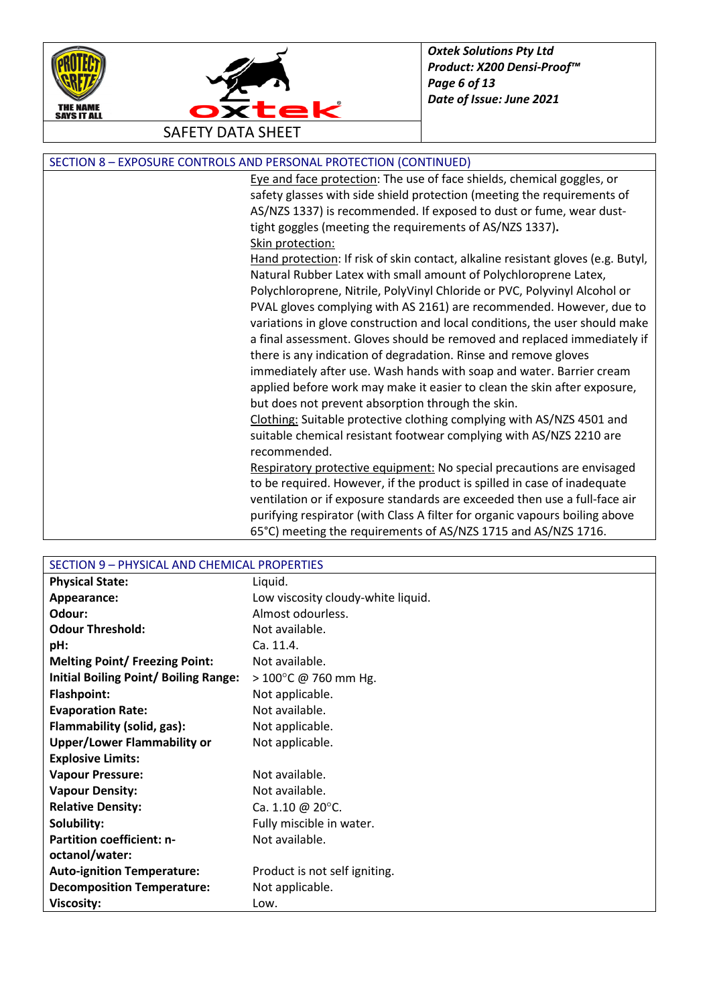



| SECTION 8 - EXPOSURE CONTROLS AND PERSONAL PROTECTION (CONTINUED) |  |
|-------------------------------------------------------------------|--|
|-------------------------------------------------------------------|--|

Eye and face protection: The use of face shields, chemical goggles, or safety glasses with side shield protection (meeting the requirements of AS/NZS 1337) is recommended. If exposed to dust or fume, wear dusttight goggles (meeting the requirements of AS/NZS 1337)**.** Skin protection:

Hand protection: If risk of skin contact, alkaline resistant gloves (e.g. Butyl, Natural Rubber Latex with small amount of Polychloroprene Latex, Polychloroprene, Nitrile, PolyVinyl Chloride or PVC, Polyvinyl Alcohol or PVAL gloves complying with AS 2161) are recommended. However, due to variations in glove construction and local conditions, the user should make a final assessment. Gloves should be removed and replaced immediately if there is any indication of degradation. Rinse and remove gloves immediately after use. Wash hands with soap and water. Barrier cream applied before work may make it easier to clean the skin after exposure, but does not prevent absorption through the skin.

Clothing: Suitable protective clothing complying with AS/NZS 4501 and suitable chemical resistant footwear complying with AS/NZS 2210 are recommended.

Respiratory protective equipment: No special precautions are envisaged to be required. However, if the product is spilled in case of inadequate ventilation or if exposure standards are exceeded then use a full-face air purifying respirator (with Class A filter for organic vapours boiling above 65°C) meeting the requirements of AS/NZS 1715 and AS/NZS 1716.

| SECTION 9 - PHYSICAL AND CHEMICAL PROPERTIES |                                    |
|----------------------------------------------|------------------------------------|
| <b>Physical State:</b>                       | Liquid.                            |
| Appearance:                                  | Low viscosity cloudy-white liquid. |
| Odour:                                       | Almost odourless.                  |
| <b>Odour Threshold:</b>                      | Not available.                     |
| pH:                                          | Ca. 11.4.                          |
| <b>Melting Point/ Freezing Point:</b>        | Not available.                     |
| <b>Initial Boiling Point/ Boiling Range:</b> | $>100^{\circ}$ C @ 760 mm Hg.      |
| <b>Flashpoint:</b>                           | Not applicable.                    |
| <b>Evaporation Rate:</b>                     | Not available.                     |
| Flammability (solid, gas):                   | Not applicable.                    |
| <b>Upper/Lower Flammability or</b>           | Not applicable.                    |
| <b>Explosive Limits:</b>                     |                                    |
| <b>Vapour Pressure:</b>                      | Not available.                     |
| <b>Vapour Density:</b>                       | Not available.                     |
| <b>Relative Density:</b>                     | Ca. 1.10 @ 20°C.                   |
| Solubility:                                  | Fully miscible in water.           |
| <b>Partition coefficient: n-</b>             | Not available.                     |
| octanol/water:                               |                                    |
| <b>Auto-ignition Temperature:</b>            | Product is not self igniting.      |
| <b>Decomposition Temperature:</b>            | Not applicable.                    |
| <b>Viscosity:</b>                            | Low.                               |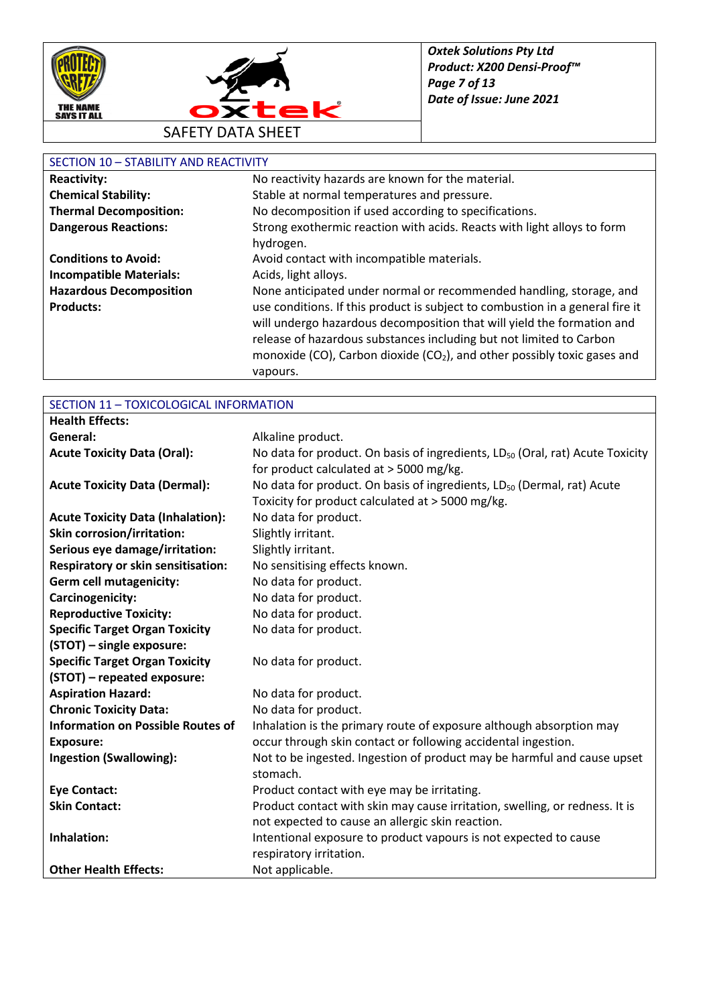



#### SECTION 10 – STABILITY AND REACTIVITY

| No reactivity hazards are known for the material.                                                                                                                                                                                                                                                                                  |
|------------------------------------------------------------------------------------------------------------------------------------------------------------------------------------------------------------------------------------------------------------------------------------------------------------------------------------|
| Stable at normal temperatures and pressure.                                                                                                                                                                                                                                                                                        |
| No decomposition if used according to specifications.                                                                                                                                                                                                                                                                              |
| Strong exothermic reaction with acids. Reacts with light alloys to form<br>hydrogen.                                                                                                                                                                                                                                               |
| Avoid contact with incompatible materials.                                                                                                                                                                                                                                                                                         |
| Acids, light alloys.                                                                                                                                                                                                                                                                                                               |
| None anticipated under normal or recommended handling, storage, and                                                                                                                                                                                                                                                                |
| use conditions. If this product is subject to combustion in a general fire it<br>will undergo hazardous decomposition that will yield the formation and<br>release of hazardous substances including but not limited to Carbon<br>monoxide (CO), Carbon dioxide (CO <sub>2</sub> ), and other possibly toxic gases and<br>vapours. |
|                                                                                                                                                                                                                                                                                                                                    |

### SECTION 11 – TOXICOLOGICAL INFORMATION

| <b>Health Effects:</b>                    |                                                                                           |
|-------------------------------------------|-------------------------------------------------------------------------------------------|
| General:                                  | Alkaline product.                                                                         |
| <b>Acute Toxicity Data (Oral):</b>        | No data for product. On basis of ingredients, LD <sub>50</sub> (Oral, rat) Acute Toxicity |
|                                           | for product calculated at > 5000 mg/kg.                                                   |
| <b>Acute Toxicity Data (Dermal):</b>      | No data for product. On basis of ingredients, LD <sub>50</sub> (Dermal, rat) Acute        |
|                                           | Toxicity for product calculated at > 5000 mg/kg.                                          |
| <b>Acute Toxicity Data (Inhalation):</b>  | No data for product.                                                                      |
| <b>Skin corrosion/irritation:</b>         | Slightly irritant.                                                                        |
| Serious eye damage/irritation:            | Slightly irritant.                                                                        |
| <b>Respiratory or skin sensitisation:</b> | No sensitising effects known.                                                             |
| <b>Germ cell mutagenicity:</b>            | No data for product.                                                                      |
| Carcinogenicity:                          | No data for product.                                                                      |
| <b>Reproductive Toxicity:</b>             | No data for product.                                                                      |
| <b>Specific Target Organ Toxicity</b>     | No data for product.                                                                      |
| (STOT) - single exposure:                 |                                                                                           |
| <b>Specific Target Organ Toxicity</b>     | No data for product.                                                                      |
| (STOT) - repeated exposure:               |                                                                                           |
| <b>Aspiration Hazard:</b>                 | No data for product.                                                                      |
| <b>Chronic Toxicity Data:</b>             | No data for product.                                                                      |
| <b>Information on Possible Routes of</b>  | Inhalation is the primary route of exposure although absorption may                       |
| <b>Exposure:</b>                          | occur through skin contact or following accidental ingestion.                             |
| <b>Ingestion (Swallowing):</b>            | Not to be ingested. Ingestion of product may be harmful and cause upset                   |
|                                           | stomach.                                                                                  |
| <b>Eye Contact:</b>                       | Product contact with eye may be irritating.                                               |
| <b>Skin Contact:</b>                      | Product contact with skin may cause irritation, swelling, or redness. It is               |
|                                           | not expected to cause an allergic skin reaction.                                          |
| Inhalation:                               | Intentional exposure to product vapours is not expected to cause                          |
|                                           | respiratory irritation.                                                                   |
| <b>Other Health Effects:</b>              | Not applicable.                                                                           |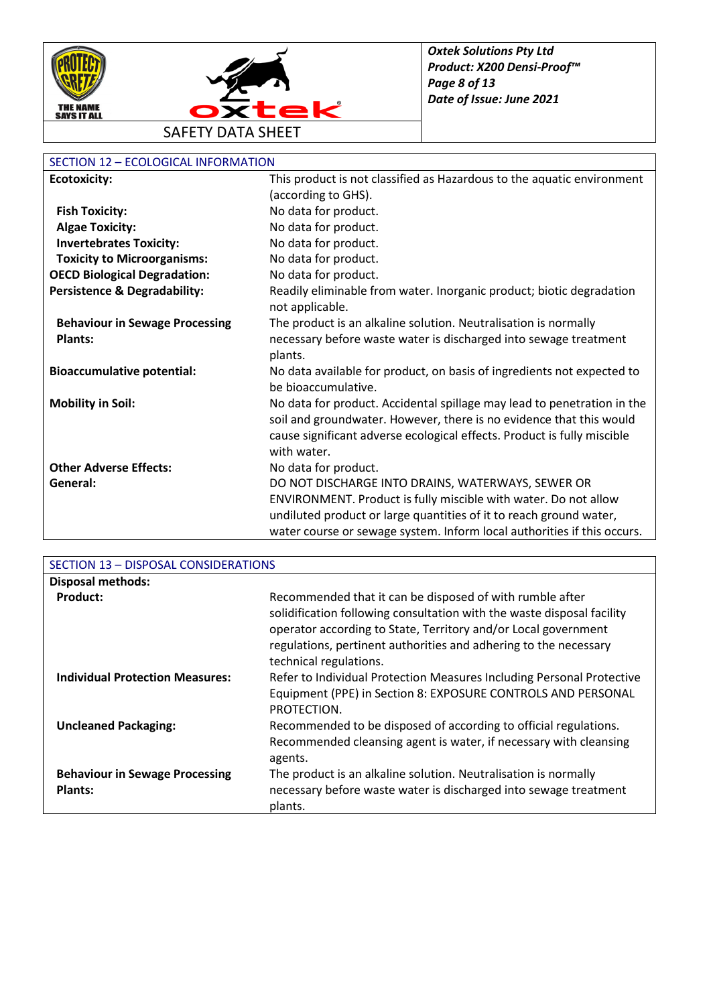



#### SECTION 12 – ECOLOGICAL INFORMATION

| <b>Ecotoxicity:</b>                     | This product is not classified as Hazardous to the aquatic environment                        |
|-----------------------------------------|-----------------------------------------------------------------------------------------------|
|                                         | (according to GHS).                                                                           |
| <b>Fish Toxicity:</b>                   | No data for product.                                                                          |
| <b>Algae Toxicity:</b>                  | No data for product.                                                                          |
| <b>Invertebrates Toxicity:</b>          | No data for product.                                                                          |
| <b>Toxicity to Microorganisms:</b>      | No data for product.                                                                          |
| <b>OECD Biological Degradation:</b>     | No data for product.                                                                          |
| <b>Persistence &amp; Degradability:</b> | Readily eliminable from water. Inorganic product; biotic degradation<br>not applicable.       |
| <b>Behaviour in Sewage Processing</b>   | The product is an alkaline solution. Neutralisation is normally                               |
| <b>Plants:</b>                          | necessary before waste water is discharged into sewage treatment                              |
|                                         | plants.                                                                                       |
| <b>Bioaccumulative potential:</b>       | No data available for product, on basis of ingredients not expected to<br>be bioaccumulative. |
| <b>Mobility in Soil:</b>                | No data for product. Accidental spillage may lead to penetration in the                       |
|                                         | soil and groundwater. However, there is no evidence that this would                           |
|                                         | cause significant adverse ecological effects. Product is fully miscible                       |
|                                         | with water.                                                                                   |
| <b>Other Adverse Effects:</b>           | No data for product.                                                                          |
| General:                                | DO NOT DISCHARGE INTO DRAINS, WATERWAYS, SEWER OR                                             |
|                                         | ENVIRONMENT. Product is fully miscible with water. Do not allow                               |
|                                         | undiluted product or large quantities of it to reach ground water,                            |
|                                         | water course or sewage system. Inform local authorities if this occurs.                       |

| SECTION 13 - DISPOSAL CONSIDERATIONS                    |                                                                                                                                                                                                                                                                                                    |
|---------------------------------------------------------|----------------------------------------------------------------------------------------------------------------------------------------------------------------------------------------------------------------------------------------------------------------------------------------------------|
| <b>Disposal methods:</b>                                |                                                                                                                                                                                                                                                                                                    |
| Product:                                                | Recommended that it can be disposed of with rumble after<br>solidification following consultation with the waste disposal facility<br>operator according to State, Territory and/or Local government<br>regulations, pertinent authorities and adhering to the necessary<br>technical regulations. |
| <b>Individual Protection Measures:</b>                  | Refer to Individual Protection Measures Including Personal Protective<br>Equipment (PPE) in Section 8: EXPOSURE CONTROLS AND PERSONAL<br>PROTECTION.                                                                                                                                               |
| <b>Uncleaned Packaging:</b>                             | Recommended to be disposed of according to official regulations.<br>Recommended cleansing agent is water, if necessary with cleansing<br>agents.                                                                                                                                                   |
| <b>Behaviour in Sewage Processing</b><br><b>Plants:</b> | The product is an alkaline solution. Neutralisation is normally<br>necessary before waste water is discharged into sewage treatment<br>plants.                                                                                                                                                     |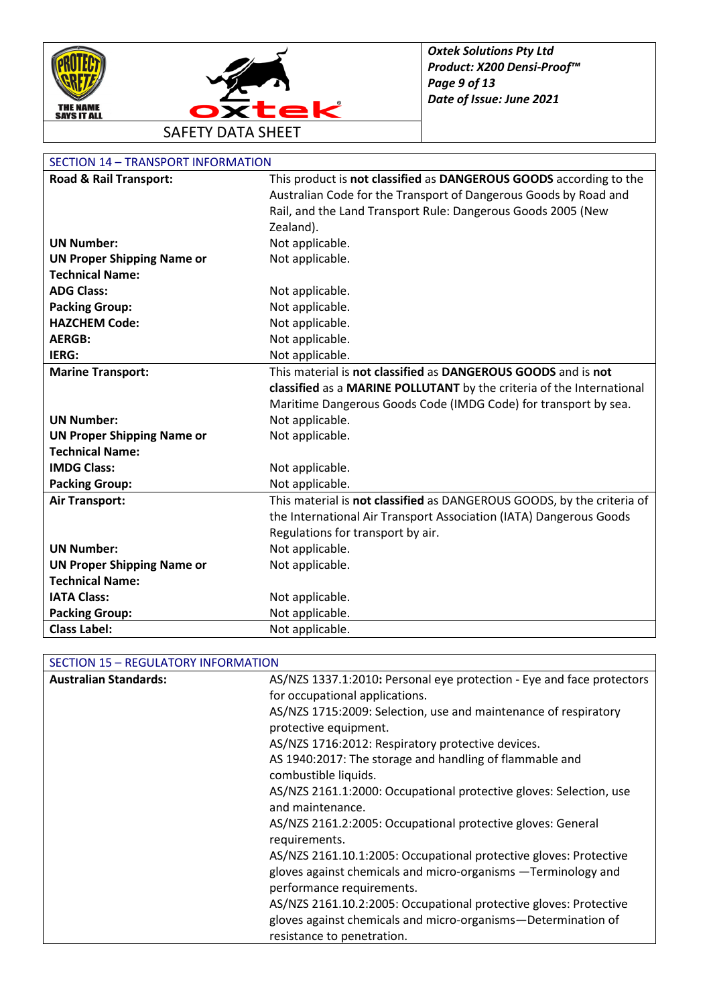



### SECTION 14 – TRANSPORT INFORMATION

| Road & Rail Transport:            | This product is not classified as DANGEROUS GOODS according to the     |
|-----------------------------------|------------------------------------------------------------------------|
|                                   | Australian Code for the Transport of Dangerous Goods by Road and       |
|                                   | Rail, and the Land Transport Rule: Dangerous Goods 2005 (New           |
|                                   | Zealand).                                                              |
| <b>UN Number:</b>                 | Not applicable.                                                        |
| <b>UN Proper Shipping Name or</b> | Not applicable.                                                        |
| <b>Technical Name:</b>            |                                                                        |
| <b>ADG Class:</b>                 | Not applicable.                                                        |
| <b>Packing Group:</b>             | Not applicable.                                                        |
| <b>HAZCHEM Code:</b>              | Not applicable.                                                        |
| <b>AERGB:</b>                     | Not applicable.                                                        |
| IERG:                             | Not applicable.                                                        |
| <b>Marine Transport:</b>          | This material is not classified as DANGEROUS GOODS and is not          |
|                                   | classified as a MARINE POLLUTANT by the criteria of the International  |
|                                   | Maritime Dangerous Goods Code (IMDG Code) for transport by sea.        |
| <b>UN Number:</b>                 | Not applicable.                                                        |
| <b>UN Proper Shipping Name or</b> | Not applicable.                                                        |
| <b>Technical Name:</b>            |                                                                        |
| <b>IMDG Class:</b>                | Not applicable.                                                        |
| <b>Packing Group:</b>             | Not applicable.                                                        |
| <b>Air Transport:</b>             | This material is not classified as DANGEROUS GOODS, by the criteria of |
|                                   | the International Air Transport Association (IATA) Dangerous Goods     |
|                                   | Regulations for transport by air.                                      |
| <b>UN Number:</b>                 | Not applicable.                                                        |
| <b>UN Proper Shipping Name or</b> | Not applicable.                                                        |
| <b>Technical Name:</b>            |                                                                        |
| <b>IATA Class:</b>                | Not applicable.                                                        |
| <b>Packing Group:</b>             | Not applicable.                                                        |
| <b>Class Label:</b>               | Not applicable.                                                        |

#### SECTION 15 – REGULATORY INFORMATION

| <b>Australian Standards:</b> | AS/NZS 1337.1:2010: Personal eye protection - Eye and face protectors |
|------------------------------|-----------------------------------------------------------------------|
|                              | for occupational applications.                                        |
|                              | AS/NZS 1715:2009: Selection, use and maintenance of respiratory       |
|                              | protective equipment.                                                 |
|                              | AS/NZS 1716:2012: Respiratory protective devices.                     |
|                              | AS 1940:2017: The storage and handling of flammable and               |
|                              | combustible liquids.                                                  |
|                              | AS/NZS 2161.1:2000: Occupational protective gloves: Selection, use    |
|                              | and maintenance.                                                      |
|                              | AS/NZS 2161.2:2005: Occupational protective gloves: General           |
|                              | requirements.                                                         |
|                              | AS/NZS 2161.10.1:2005: Occupational protective gloves: Protective     |
|                              | gloves against chemicals and micro-organisms -Terminology and         |
|                              | performance requirements.                                             |
|                              | AS/NZS 2161.10.2:2005: Occupational protective gloves: Protective     |
|                              | gloves against chemicals and micro-organisms-Determination of         |
|                              | resistance to penetration.                                            |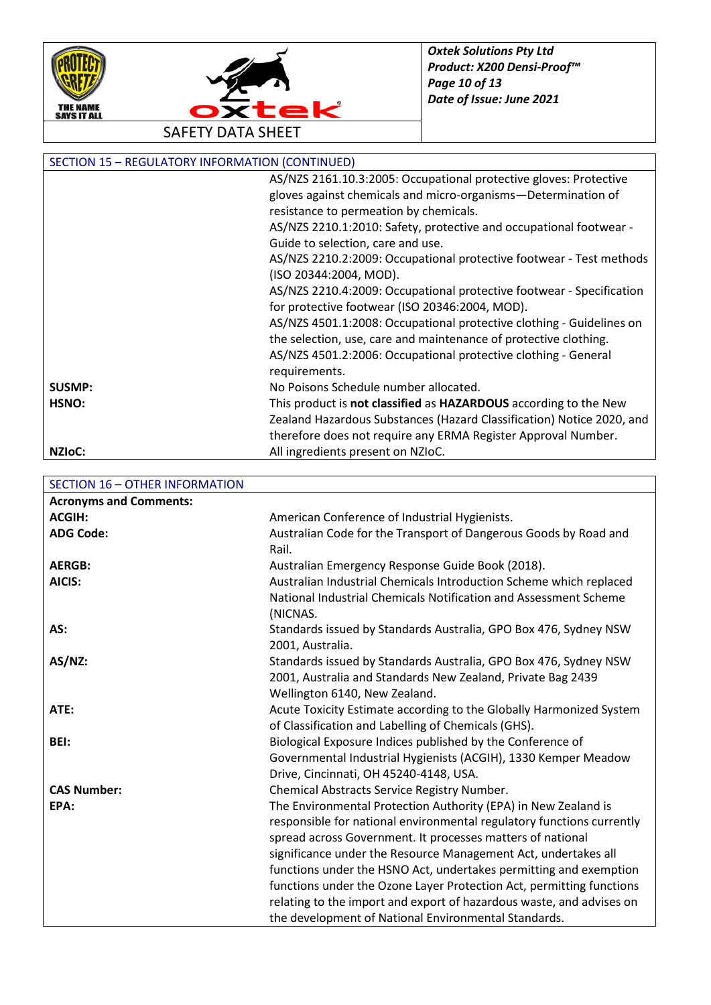



SECTION 15 – REGULATORY INFORMATION (CONTINUED) [AS/NZS 2161.10.3:2005:](http://www.saiglobal.com/shop/Script/Details.asp?DocN=AS0733765807AT) Occupational protective gloves: Protective gloves against chemicals and micro-organisms—Determination of resistance to permeation by chemicals. AS/NZS 2210.1:2010: Safety, protective and occupational footwear - Guide to selection, care and use. AS/NZS 2210.2:2009: Occupational protective footwear - Test methods (ISO 20344:2004, MOD). AS/NZS 2210.4:2009: Occupational protective footwear - Specification for protective footwear (ISO 20346:2004, MOD). AS/NZS 4501.1:2008: Occupational protective clothing - Guidelines on the selection, use, care and maintenance of protective clothing. AS/NZS 4501.2:2006: Occupational protective clothing - General requirements. **SUSMP:** No Poisons Schedule number allocated. **HSNO:** This product is **not classified** as **HAZARDOUS** according to the New Zealand Hazardous Substances (Hazard Classification) Notice 2020, and therefore does not require any ERMA Register Approval Number. **NZIoC:** All ingredients present on NZIoC.

#### SECTION 16 – OTHER INFORMATION **Acronyms and Comments: ACGIH:** American Conference of Industrial Hygienists. ADG Code: Australian Code for the Transport of Dangerous Goods by Road and Rail. **AERGB:** Australian Emergency Response Guide Book (2018). **AICIS:** Australian Industrial Chemicals Introduction Scheme which replaced National Industrial Chemicals Notification and Assessment Scheme (NICNAS. AS: Standards issued by Standards Australia, GPO Box 476, Sydney NSW 2001, Australia. AS/NZ: Standards issued by Standards Australia, GPO Box 476, Sydney NSW 2001, Australia and Standards New Zealand, Private Bag 2439 Wellington 6140, New Zealand. **ATE:** Acute Toxicity Estimate according to the Globally Harmonized System of Classification and Labelling of Chemicals (GHS). **BEI:** Biological Exposure Indices published by the Conference of Governmental Industrial Hygienists (ACGIH), 1330 Kemper Meadow Drive, Cincinnati, OH 45240-4148, USA. **CAS Number:** Chemical Abstracts Service Registry Number. **EPA:** The Environmental Protection Authority (EPA) in New Zealand is responsible for national environmental regulatory functions currently spread across Government. It processes matters of national significance under the Resource Management Act, undertakes all functions under the HSNO Act, undertakes permitting and exemption functions under the Ozone Layer Protection Act, permitting functions relating to the import and export of hazardous waste, and advises on the development of National Environmental Standards.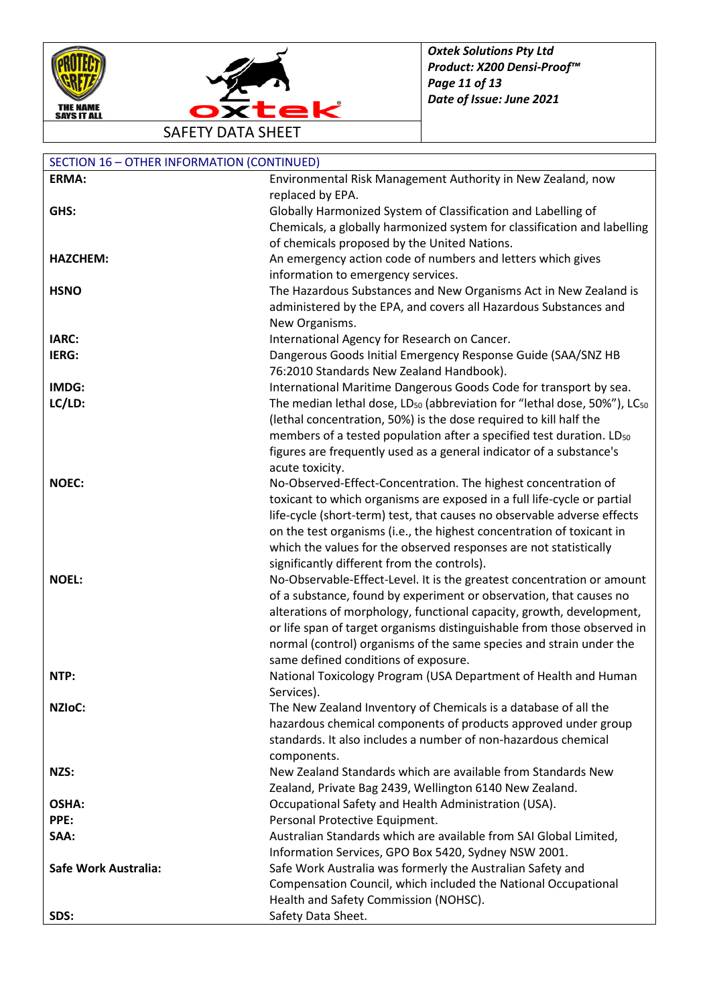



SAFETY DATA SHEET

| <b>SECTION 16 - OTHER INFORMATION (CONTINUED)</b> |                                                                                                  |
|---------------------------------------------------|--------------------------------------------------------------------------------------------------|
| ERMA:                                             | Environmental Risk Management Authority in New Zealand, now                                      |
|                                                   | replaced by EPA.                                                                                 |
| GHS:                                              | Globally Harmonized System of Classification and Labelling of                                    |
|                                                   | Chemicals, a globally harmonized system for classification and labelling                         |
|                                                   | of chemicals proposed by the United Nations.                                                     |
| <b>HAZCHEM:</b>                                   | An emergency action code of numbers and letters which gives                                      |
|                                                   | information to emergency services.                                                               |
| <b>HSNO</b>                                       | The Hazardous Substances and New Organisms Act in New Zealand is                                 |
|                                                   | administered by the EPA, and covers all Hazardous Substances and                                 |
|                                                   | New Organisms.                                                                                   |
| IARC:                                             | International Agency for Research on Cancer.                                                     |
| IERG:                                             | Dangerous Goods Initial Emergency Response Guide (SAA/SNZ HB                                     |
|                                                   | 76:2010 Standards New Zealand Handbook).                                                         |
| IMDG:                                             | International Maritime Dangerous Goods Code for transport by sea.                                |
| LC/LD:                                            | The median lethal dose, LD <sub>50</sub> (abbreviation for "lethal dose, 50%"), LC <sub>50</sub> |
|                                                   | (lethal concentration, 50%) is the dose required to kill half the                                |
|                                                   | members of a tested population after a specified test duration. LD <sub>50</sub>                 |
|                                                   | figures are frequently used as a general indicator of a substance's                              |
|                                                   | acute toxicity.                                                                                  |
| <b>NOEC:</b>                                      | No-Observed-Effect-Concentration. The highest concentration of                                   |
|                                                   | toxicant to which organisms are exposed in a full life-cycle or partial                          |
|                                                   | life-cycle (short-term) test, that causes no observable adverse effects                          |
|                                                   | on the test organisms (i.e., the highest concentration of toxicant in                            |
|                                                   | which the values for the observed responses are not statistically                                |
|                                                   | significantly different from the controls).                                                      |
| <b>NOEL:</b>                                      | No-Observable-Effect-Level. It is the greatest concentration or amount                           |
|                                                   | of a substance, found by experiment or observation, that causes no                               |
|                                                   | alterations of morphology, functional capacity, growth, development,                             |
|                                                   | or life span of target organisms distinguishable from those observed in                          |
|                                                   | normal (control) organisms of the same species and strain under the                              |
|                                                   | same defined conditions of exposure.                                                             |
| NTP:                                              | National Toxicology Program (USA Department of Health and Human                                  |
|                                                   | Services).                                                                                       |
| <b>NZIOC:</b>                                     | The New Zealand Inventory of Chemicals is a database of all the                                  |
|                                                   | hazardous chemical components of products approved under group                                   |
|                                                   | standards. It also includes a number of non-hazardous chemical                                   |
|                                                   | components.                                                                                      |
| NZS:                                              | New Zealand Standards which are available from Standards New                                     |
|                                                   | Zealand, Private Bag 2439, Wellington 6140 New Zealand.                                          |
| OSHA:                                             | Occupational Safety and Health Administration (USA).                                             |
| PPE:                                              | Personal Protective Equipment.                                                                   |
| SAA:                                              | Australian Standards which are available from SAI Global Limited,                                |
|                                                   | Information Services, GPO Box 5420, Sydney NSW 2001.                                             |
| Safe Work Australia:                              | Safe Work Australia was formerly the Australian Safety and                                       |
|                                                   | Compensation Council, which included the National Occupational                                   |
|                                                   | Health and Safety Commission (NOHSC).                                                            |
| SDS:                                              | Safety Data Sheet.                                                                               |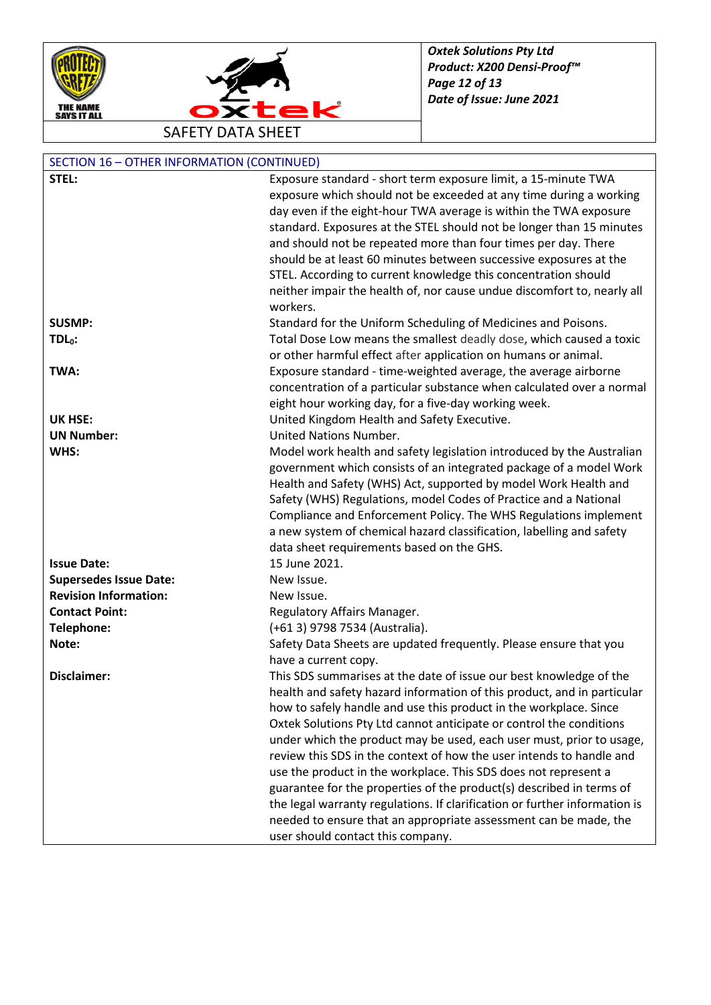



| <b>SECTION 16 - OTHER INFORMATION (CONTINUED)</b> |                                                                            |  |
|---------------------------------------------------|----------------------------------------------------------------------------|--|
| STEL:                                             | Exposure standard - short term exposure limit, a 15-minute TWA             |  |
|                                                   | exposure which should not be exceeded at any time during a working         |  |
|                                                   | day even if the eight-hour TWA average is within the TWA exposure          |  |
|                                                   | standard. Exposures at the STEL should not be longer than 15 minutes       |  |
|                                                   | and should not be repeated more than four times per day. There             |  |
|                                                   | should be at least 60 minutes between successive exposures at the          |  |
|                                                   | STEL. According to current knowledge this concentration should             |  |
|                                                   | neither impair the health of, nor cause undue discomfort to, nearly all    |  |
|                                                   | workers.                                                                   |  |
| <b>SUSMP:</b>                                     | Standard for the Uniform Scheduling of Medicines and Poisons.              |  |
| $TDL0$ :                                          | Total Dose Low means the smallest deadly dose, which caused a toxic        |  |
|                                                   | or other harmful effect after application on humans or animal.             |  |
| TWA:                                              | Exposure standard - time-weighted average, the average airborne            |  |
|                                                   | concentration of a particular substance when calculated over a normal      |  |
|                                                   | eight hour working day, for a five-day working week.                       |  |
| <b>UK HSE:</b>                                    | United Kingdom Health and Safety Executive.                                |  |
| <b>UN Number:</b>                                 | <b>United Nations Number.</b>                                              |  |
| WHS:                                              | Model work health and safety legislation introduced by the Australian      |  |
|                                                   | government which consists of an integrated package of a model Work         |  |
|                                                   | Health and Safety (WHS) Act, supported by model Work Health and            |  |
|                                                   | Safety (WHS) Regulations, model Codes of Practice and a National           |  |
|                                                   | Compliance and Enforcement Policy. The WHS Regulations implement           |  |
|                                                   | a new system of chemical hazard classification, labelling and safety       |  |
|                                                   | data sheet requirements based on the GHS.                                  |  |
| <b>Issue Date:</b>                                | 15 June 2021.                                                              |  |
| <b>Supersedes Issue Date:</b>                     | New Issue.                                                                 |  |
| <b>Revision Information:</b>                      | New Issue.                                                                 |  |
| <b>Contact Point:</b>                             | Regulatory Affairs Manager.                                                |  |
| Telephone:                                        | (+61 3) 9798 7534 (Australia).                                             |  |
| Note:                                             | Safety Data Sheets are updated frequently. Please ensure that you          |  |
|                                                   | have a current copy.                                                       |  |
| <b>Disclaimer:</b>                                | This SDS summarises at the date of issue our best knowledge of the         |  |
|                                                   | health and safety hazard information of this product, and in particular    |  |
|                                                   | how to safely handle and use this product in the workplace. Since          |  |
|                                                   | Oxtek Solutions Pty Ltd cannot anticipate or control the conditions        |  |
|                                                   | under which the product may be used, each user must, prior to usage,       |  |
|                                                   | review this SDS in the context of how the user intends to handle and       |  |
|                                                   | use the product in the workplace. This SDS does not represent a            |  |
|                                                   | guarantee for the properties of the product(s) described in terms of       |  |
|                                                   | the legal warranty regulations. If clarification or further information is |  |
|                                                   | needed to ensure that an appropriate assessment can be made, the           |  |
|                                                   | user should contact this company.                                          |  |